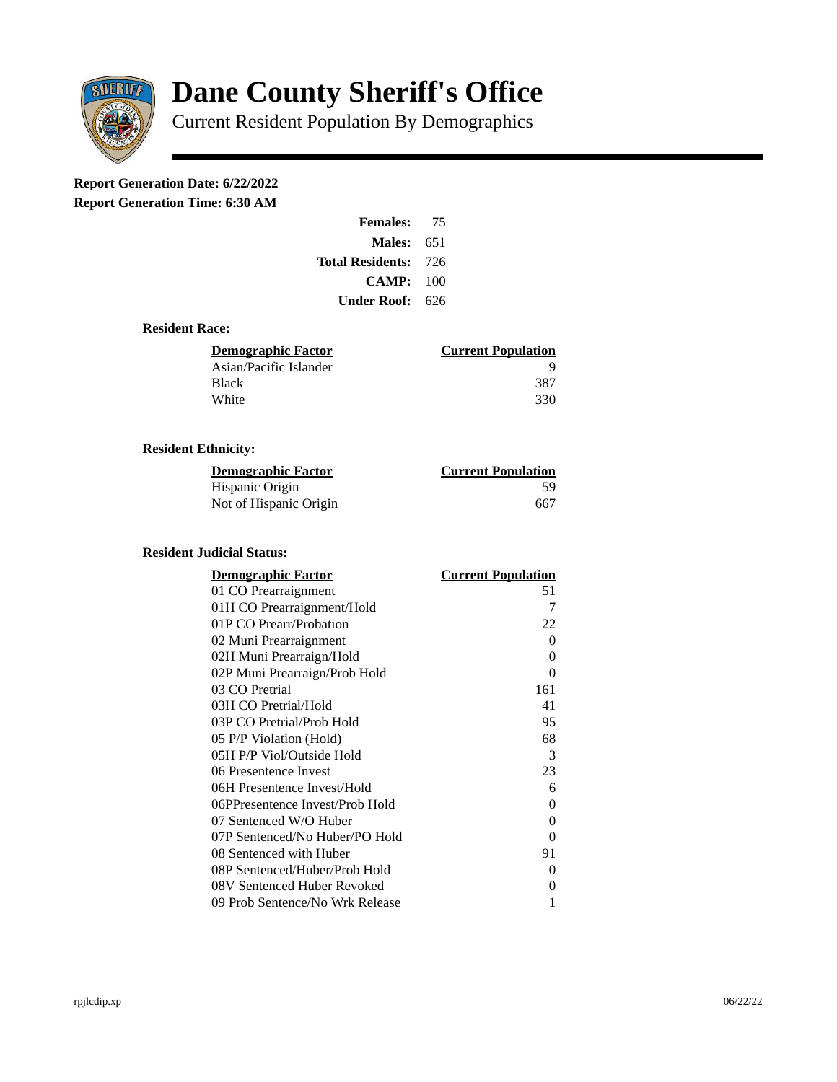

# **Dane County Sheriff's Office**

Current Resident Population By Demographics

# **Report Generation Date: 6/22/2022**

**Report Generation Time: 6:30 AM** 

| <b>Females:</b>         | 75   |
|-------------------------|------|
| Males:                  | 651  |
| <b>Total Residents:</b> | -726 |
| CAMP:                   | 100  |
| Under Roof:             | 626  |

### **Resident Race:**

| <b>Current Population</b> |
|---------------------------|
| ч                         |
| 387                       |
| 330                       |
|                           |

### **Resident Ethnicity:**

| <u>Demographic Factor</u> | <b>Current Population</b> |
|---------------------------|---------------------------|
| Hispanic Origin           | 59                        |
| Not of Hispanic Origin    | 667                       |

#### **Resident Judicial Status:**

| <u>Demographic Factor</u>       | <b>Current Population</b> |
|---------------------------------|---------------------------|
| 01 CO Prearraignment            | 51                        |
| 01H CO Prearraignment/Hold      | 7                         |
| 01P CO Prearr/Probation         | 22                        |
| 02 Muni Prearraignment          | 0                         |
| 02H Muni Prearraign/Hold        | 0                         |
| 02P Muni Prearraign/Prob Hold   | 0                         |
| 03 CO Pretrial                  | 161                       |
| 03H CO Pretrial/Hold            | 41                        |
| 03P CO Pretrial/Prob Hold       | 95                        |
| 05 P/P Violation (Hold)         | 68                        |
| 05H P/P Viol/Outside Hold       | 3                         |
| 06 Presentence Invest           | 23                        |
| 06H Presentence Invest/Hold     | 6                         |
| 06PPresentence Invest/Prob Hold | 0                         |
| 07 Sentenced W/O Huber          | 0                         |
| 07P Sentenced/No Huber/PO Hold  | 0                         |
| 08 Sentenced with Huber         | 91                        |
| 08P Sentenced/Huber/Prob Hold   | 0                         |
| 08V Sentenced Huber Revoked     | 0                         |
| 09 Prob Sentence/No Wrk Release | 1                         |